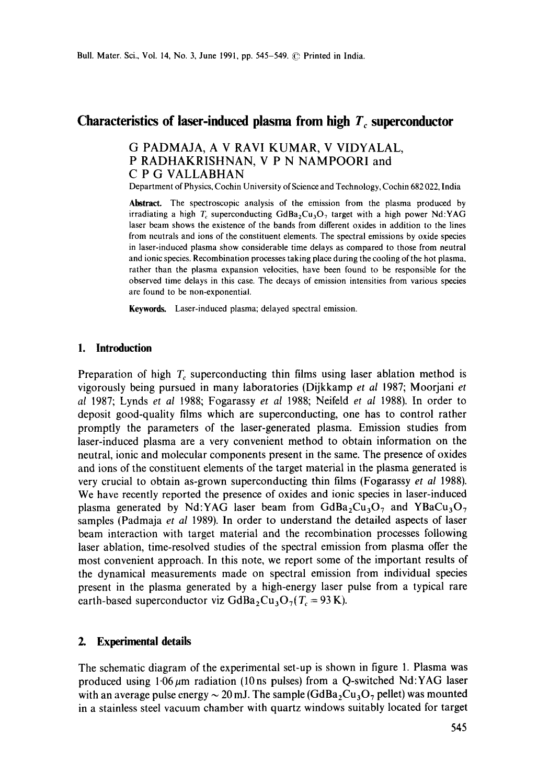# Characteristics of laser-induced plasma from high  $T_c$  superconductor

## G PADMAJA, A V RAVI KUMAR, V VIDYALAL, P RADHAKRISHNAN, V P N NAMPOORI and C P G VALLABHAN

Department of Physics, Cochin University of Science and Technology, Cochin 682 022, India

**Abstract.** The spectroscopic analysis of the emission from the plasma produced by irradiating a high  $T_c$  superconducting GdBa<sub>2</sub>Cu<sub>3</sub>O<sub>7</sub> target with a high power Nd:YAG laser beam shows the existence of the bands from different oxides in addition to the lines from neutrals and ions of the constituent elements. The spectral emissions by oxide species in laser-induced plasma show considerable time delays as compared to those from neutral and ionic species. Recombination processes taking place during the cooling of the hot plasma, rather than the plasma expansion velocities, have been found to be responsible for the observed time delays in this case, The decays of emission intensities from various species are found to be non-exponential.

**Keywords.** Laser-induced plasma; delayed spectral emission.

#### **1. Introduction**

Preparation of high  $T_c$  superconducting thin films using laser ablation method is vigorously being pursued in many laboratories (Dijkkamp *et al* 1987; Moorjani *et al* 1987; Lynds *et al* 1988; Fogarassy *et al* 1988; Neifeld *et al* 1988). In order to deposit good-quality films which are superconducting, one has to control rather promptly the parameters of the laser-generated plasma. Emission studies from laser-induced plasma are a very convenient method to obtain information on the neutral, ionic and molecular components present in the same. The presence of oxides and ions of the constituent elements of the target material in the plasma generated is very crucial to obtain as-grown superconducting thin films (Fogarassy *et al* 1988). We have recently reported the presence of oxides and ionic species in laser-induced plasma generated by Nd:YAG laser beam from  $GdBa<sub>2</sub>Cu<sub>3</sub>O<sub>7</sub>$  and YBaCu<sub>3</sub>O<sub>7</sub> samples (Padmaja *et al* 1989). In order to understand the detailed aspects of laser beam interaction with target material and the recombination processes following laser ablation, time-resolved studies of the spectral emission from plasma offer the most convenient approach. In this note, we report some of the important results of the dynamical measurements made on spectral emission from individual species present in the plasma generated by a high-energy laser pulse from a typical rare earth-based superconductor viz  $GdBa_2Cu_3O_7(T_c = 93 \text{ K}).$ 

#### **2. Experimental details**

The schematic diagram of the experimental set-up is shown in figure 1. Plasma was produced using  $1.06~\mu$ m radiation (10 ns pulses) from a Q-switched Nd:YAG laser with an average pulse energy  $\sim 20$  mJ. The sample (GdBa, Cu<sub>3</sub>O<sub>7</sub> pellet) was mounted in a stainless steel vacuum chamber with quartz windows suitably located for target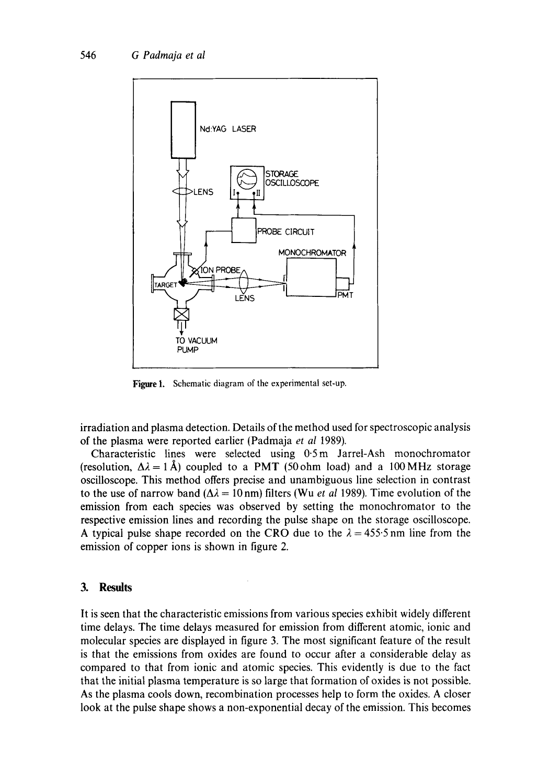

Figure 1. Schematic diagram of the experimental set-up.

irradiation and plasma detection. Details of the method used for spectroscopic analysis of the plasma were reported earlier (Padmaja *et al* 1989).

Characteristic lines were selected using 0-5m Jarrel-Ash monochromator (resolution,  $\Delta \lambda = 1~\text{\AA}$ ) coupled to a PMT (50 ohm load) and a 100 MHz storage oscilloscope. This method offers precise and unambiguous line selection in contrast to the use of narrow band  $(\Delta \lambda = 10 \text{ nm})$  filters (Wu *et al* 1989). Time evolution of the emission from each species was observed by setting the monochromator to the respective emission lines and recording the pulse shape on the storage oscilloscope. A typical pulse shape recorded on the CRO due to the  $\lambda = 455.5$  nm line from the emission of copper ions is shown in figure 2.

### **3. Results**

It is seen that the characteristic emissions from various species exhibit widely different time delays. The time delays measured for emission from different atomic, ionic and molecular species are displayed in figure 3. The most significant feature of the result is that the emissions from oxides are found to occur after a considerable delay as compared to that from ionic and atomic species. This evidently is due to the fact that the initial plasma temperature is so large that formation of oxides is not possible. As the plasma cools down, recombination processes help to form the oxides. A closer look at the pulse shape shows a non-exponential decay of the emission. This becomes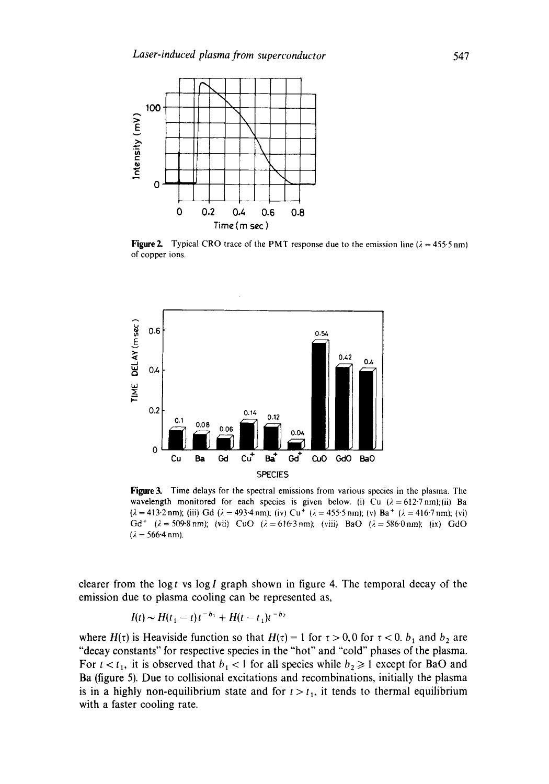

**Figure 2.** Typical CRO trace of the PMT response due to the emission line ( $\lambda = 455.5$  nm) of copper ions.



**Figure 3.** Time delays for the spectral emissions from various species in the plasma. The wavelength monitored for each species is given below. (i) Cu  $(\lambda = 612.7 \text{ nm})$ ;(ii) Ba  $(\lambda = 413.2 \text{ nm})$ ; (iii) Gd  $(\lambda = 493.4 \text{ nm})$ ; (iv) Cu<sup>+</sup> ( $\lambda = 455.5 \text{ nm}$ ); (v) Ba<sup>+</sup> ( $\lambda = 416.7 \text{ nm}$ ); (vi) Gd<sup>+</sup>  $(\lambda = 509.8 \text{ nm})$ ; (vii) CuO  $(\lambda = 616.3 \text{ nm})$ ; (viii) BaO  $(\lambda = 586.0 \text{ nm})$ ; (ix) GdO  $(\lambda = 566.4 \text{ nm}).$ 

clearer from the log t vs log I graph shown in figure 4. The temporal decay of the emission due to plasma cooling can be represented as,

$$
I(t) \sim H(t_1 - t) t^{-b_1} + H(t - t_1) t^{-b_2}
$$

where  $H(\tau)$  is Heaviside function so that  $H(\tau) = 1$  for  $\tau > 0, 0$  for  $\tau < 0$ .  $b_1$  and  $b_2$  are "decay constants" for respective species in the "hot" and "cold" phases of the plasma. For  $t < t_1$ , it is observed that  $b_1 < 1$  for all species while  $b_2 \ge 1$  except for BaO and Ba (figure 5). Due to collisional excitations and recombinations, initially the plasma is in a highly non-equilibrium state and for  $t > t_1$ , it tends to thermal equilibrium with a faster cooling rate.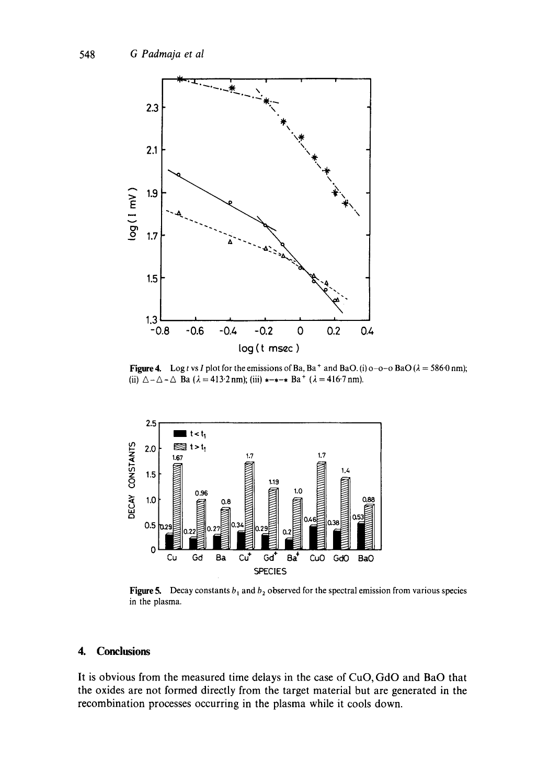

Figure 4. Log t vs I plot for the emissions of Ba, Ba<sup>+</sup> and BaO. (i) o-o-o BaO ( $\lambda = 586$ ·0 nm); (ii)  $\Delta - \Delta - \Delta$  Ba ( $\lambda = 413.2$  nm); (iii)  $*-*$  Ba<sup>+</sup> ( $\lambda = 416.7$  nm).



Figure 5. Decay constants  $b_1$  and  $b_2$  observed for the spectral emission from various species in the plasma.

### **4. Conclusions**

It is obvious from the measured time delays in the case of CuO, GdO and BaO that the oxides are not formed directly from the target material but are generated in the recombination processes occurring in the plasma while it cools down.